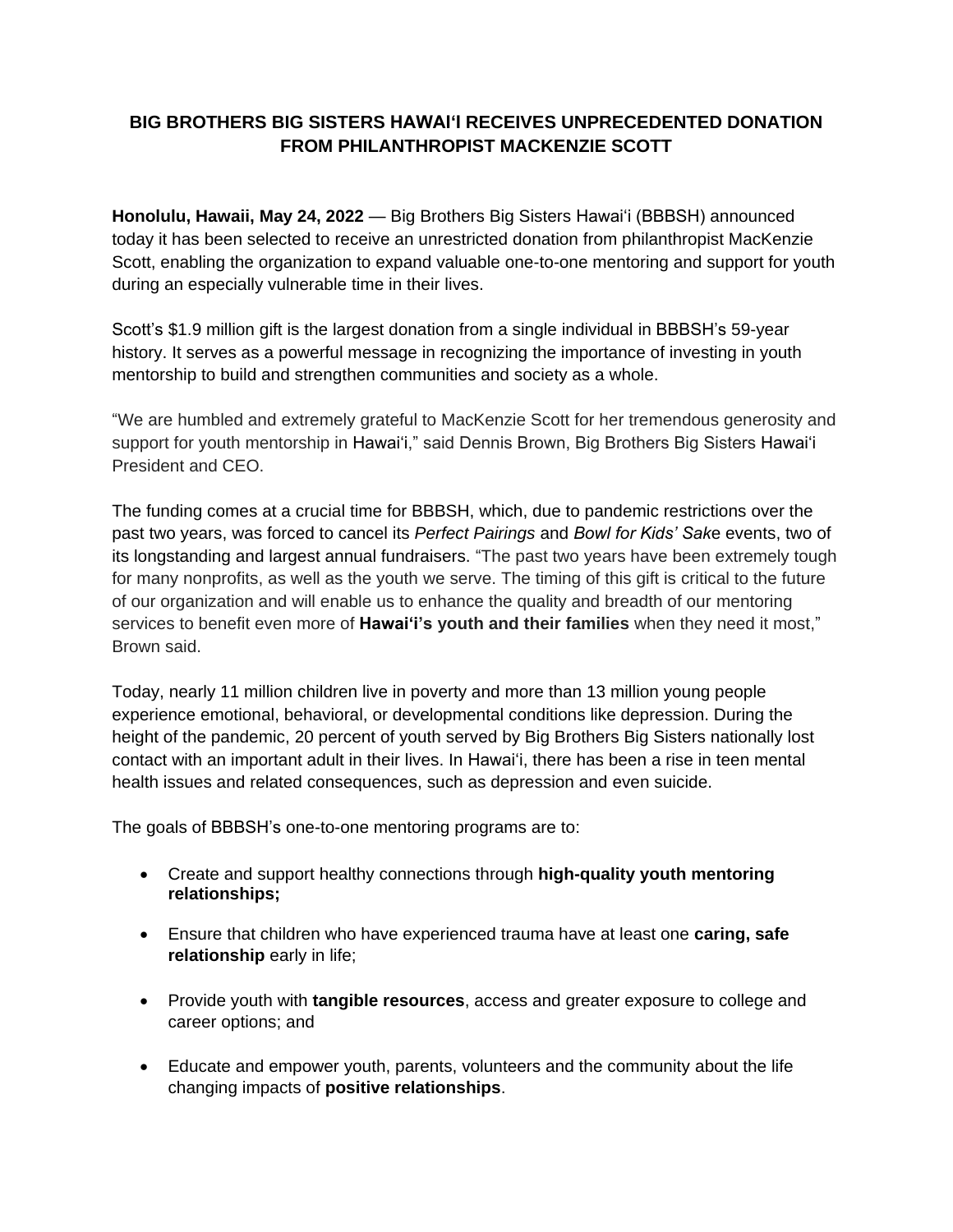## **BIG BROTHERS BIG SISTERS HAWAIʻI RECEIVES UNPRECEDENTED DONATION FROM PHILANTHROPIST MACKENZIE SCOTT**

**Honolulu, Hawaii, May 24, 2022** — Big Brothers Big Sisters Hawaiʻi (BBBSH) announced today it has been selected to receive an unrestricted donation from philanthropist MacKenzie Scott, enabling the organization to expand valuable one-to-one mentoring and support for youth during an especially vulnerable time in their lives.

Scott's \$1.9 million gift is the largest donation from a single individual in BBBSH's 59-year history. It serves as a powerful message in recognizing the importance of investing in youth mentorship to build and strengthen communities and society as a whole.

"We are humbled and extremely grateful to MacKenzie Scott for her tremendous generosity and support for youth mentorship in Hawaiʻi," said Dennis Brown, Big Brothers Big Sisters Hawaiʻi President and CEO.

The funding comes at a crucial time for BBBSH, which, due to pandemic restrictions over the past two years, was forced to cancel its *Perfect Pairings* and *Bowl for Kids' Sak*e events, two of its longstanding and largest annual fundraisers. "The past two years have been extremely tough for many nonprofits, as well as the youth we serve. The timing of this gift is critical to the future of our organization and will enable us to enhance the quality and breadth of our mentoring services to benefit even more of **Hawaiʻi's youth and their families** when they need it most," Brown said.

Today, nearly 11 million children live in poverty and more than 13 million young people experience emotional, behavioral, or developmental conditions like depression. During the height of the pandemic, 20 percent of youth served by Big Brothers Big Sisters nationally lost contact with an important adult in their lives. In Hawaiʻi, there has been a rise in teen mental health issues and related consequences, such as depression and even suicide.

The goals of BBBSH's one-to-one mentoring programs are to:

- Create and support healthy connections through **high-quality youth mentoring relationships;**
- Ensure that children who have experienced trauma have at least one **caring, safe relationship** early in life;
- Provide youth with **tangible resources**, access and greater exposure to college and career options; and
- Educate and empower youth, parents, volunteers and the community about the life changing impacts of **positive relationships**.